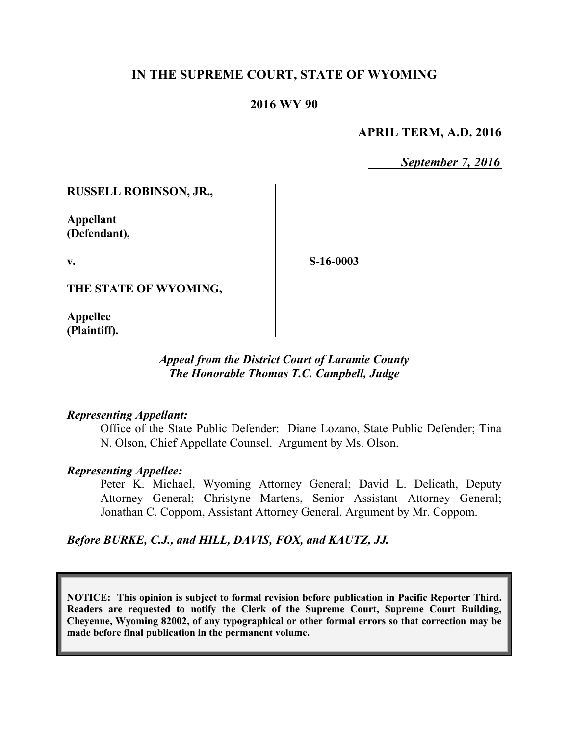## **IN THE SUPREME COURT, STATE OF WYOMING**

#### **2016 WY 90**

#### **APRIL TERM, A.D. 2016**

*September 7, 2016*

**RUSSELL ROBINSON, JR.,**

**Appellant (Defendant),**

**v.**

**S-16-0003**

**THE STATE OF WYOMING,**

**Appellee (Plaintiff).**

#### *Appeal from the District Court of Laramie County The Honorable Thomas T.C. Campbell, Judge*

#### *Representing Appellant:*

Office of the State Public Defender: Diane Lozano, State Public Defender; Tina N. Olson, Chief Appellate Counsel. Argument by Ms. Olson.

#### *Representing Appellee:*

Peter K. Michael, Wyoming Attorney General; David L. Delicath, Deputy Attorney General; Christyne Martens, Senior Assistant Attorney General; Jonathan C. Coppom, Assistant Attorney General. Argument by Mr. Coppom.

*Before BURKE, C.J., and HILL, DAVIS, FOX, and KAUTZ, JJ.*

**NOTICE: This opinion is subject to formal revision before publication in Pacific Reporter Third. Readers are requested to notify the Clerk of the Supreme Court, Supreme Court Building, Cheyenne, Wyoming 82002, of any typographical or other formal errors so that correction may be made before final publication in the permanent volume.**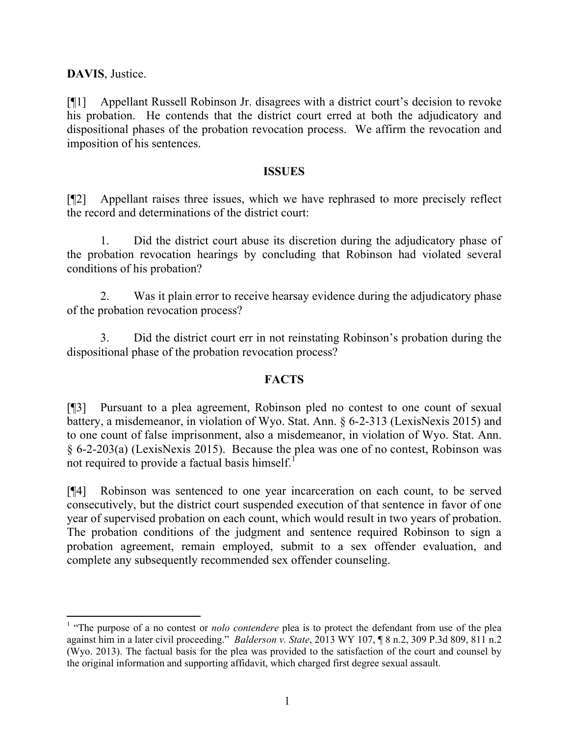**DAVIS**, Justice.

l

[¶1] Appellant Russell Robinson Jr. disagrees with a district court's decision to revoke his probation. He contends that the district court erred at both the adjudicatory and dispositional phases of the probation revocation process. We affirm the revocation and imposition of his sentences.

#### **ISSUES**

[¶2] Appellant raises three issues, which we have rephrased to more precisely reflect the record and determinations of the district court:

1. Did the district court abuse its discretion during the adjudicatory phase of the probation revocation hearings by concluding that Robinson had violated several conditions of his probation?

2. Was it plain error to receive hearsay evidence during the adjudicatory phase of the probation revocation process?

3. Did the district court err in not reinstating Robinson's probation during the dispositional phase of the probation revocation process?

## **FACTS**

[¶3] Pursuant to a plea agreement, Robinson pled no contest to one count of sexual battery, a misdemeanor, in violation of Wyo. Stat. Ann. § 6-2-313 (LexisNexis 2015) and to one count of false imprisonment, also a misdemeanor, in violation of Wyo. Stat. Ann. § 6-2-203(a) (LexisNexis 2015). Because the plea was one of no contest, Robinson was not required to provide a factual basis himself.<sup>1</sup>

[¶4] Robinson was sentenced to one year incarceration on each count, to be served consecutively, but the district court suspended execution of that sentence in favor of one year of supervised probation on each count, which would result in two years of probation. The probation conditions of the judgment and sentence required Robinson to sign a probation agreement, remain employed, submit to a sex offender evaluation, and complete any subsequently recommended sex offender counseling.

<sup>&</sup>lt;sup>1</sup> "The purpose of a no contest or *nolo contendere* plea is to protect the defendant from use of the plea against him in a later civil proceeding." *Balderson v. State*, 2013 WY 107, ¶ 8 n.2, 309 P.3d 809, 811 n.2 (Wyo. 2013). The factual basis for the plea was provided to the satisfaction of the court and counsel by the original information and supporting affidavit, which charged first degree sexual assault.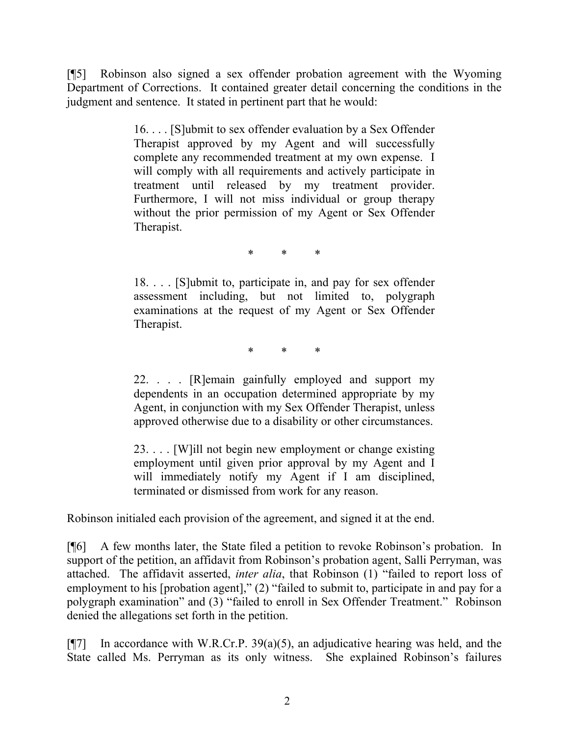[¶5] Robinson also signed a sex offender probation agreement with the Wyoming Department of Corrections. It contained greater detail concerning the conditions in the judgment and sentence. It stated in pertinent part that he would:

> 16. . . . [S]ubmit to sex offender evaluation by a Sex Offender Therapist approved by my Agent and will successfully complete any recommended treatment at my own expense. I will comply with all requirements and actively participate in treatment until released by my treatment provider. Furthermore, I will not miss individual or group therapy without the prior permission of my Agent or Sex Offender Therapist.

> > \* \* \*

18. . . . [S]ubmit to, participate in, and pay for sex offender assessment including, but not limited to, polygraph examinations at the request of my Agent or Sex Offender Therapist.

\* \* \*

22. . . . [R]emain gainfully employed and support my dependents in an occupation determined appropriate by my Agent, in conjunction with my Sex Offender Therapist, unless approved otherwise due to a disability or other circumstances.

23. . . . [W]ill not begin new employment or change existing employment until given prior approval by my Agent and I will immediately notify my Agent if I am disciplined, terminated or dismissed from work for any reason.

Robinson initialed each provision of the agreement, and signed it at the end.

[¶6] A few months later, the State filed a petition to revoke Robinson's probation. In support of the petition, an affidavit from Robinson's probation agent, Salli Perryman, was attached. The affidavit asserted, *inter alia*, that Robinson (1) "failed to report loss of employment to his [probation agent]," (2) "failed to submit to, participate in and pay for a polygraph examination" and (3) "failed to enroll in Sex Offender Treatment." Robinson denied the allegations set forth in the petition.

 $[$ [[7] In accordance with W.R.Cr.P. 39(a)(5), an adjudicative hearing was held, and the State called Ms. Perryman as its only witness. She explained Robinson's failures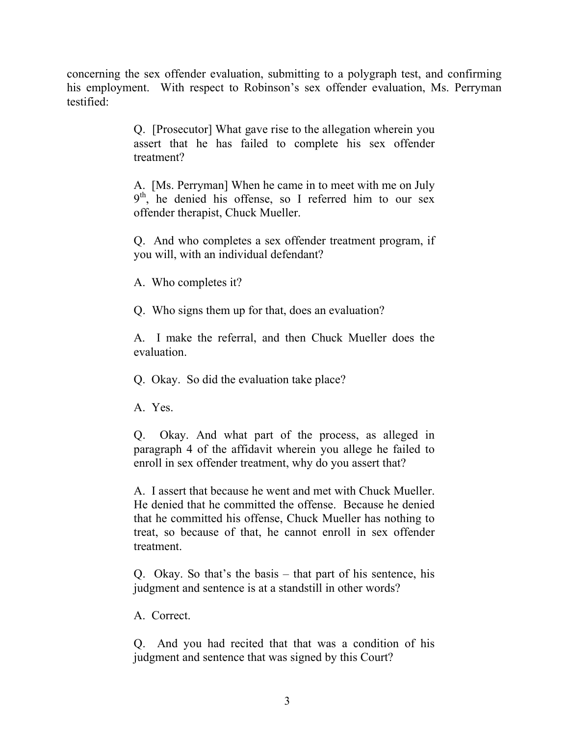concerning the sex offender evaluation, submitting to a polygraph test, and confirming his employment. With respect to Robinson's sex offender evaluation, Ms. Perryman testified:

> Q. [Prosecutor] What gave rise to the allegation wherein you assert that he has failed to complete his sex offender treatment?

> A. [Ms. Perryman] When he came in to meet with me on July 9<sup>th</sup>, he denied his offense, so I referred him to our sex offender therapist, Chuck Mueller.

> Q. And who completes a sex offender treatment program, if you will, with an individual defendant?

A. Who completes it?

Q. Who signs them up for that, does an evaluation?

A. I make the referral, and then Chuck Mueller does the evaluation.

Q. Okay. So did the evaluation take place?

A. Yes.

Q. Okay. And what part of the process, as alleged in paragraph 4 of the affidavit wherein you allege he failed to enroll in sex offender treatment, why do you assert that?

A. I assert that because he went and met with Chuck Mueller. He denied that he committed the offense. Because he denied that he committed his offense, Chuck Mueller has nothing to treat, so because of that, he cannot enroll in sex offender treatment.

Q. Okay. So that's the basis – that part of his sentence, his judgment and sentence is at a standstill in other words?

A. Correct.

Q. And you had recited that that was a condition of his judgment and sentence that was signed by this Court?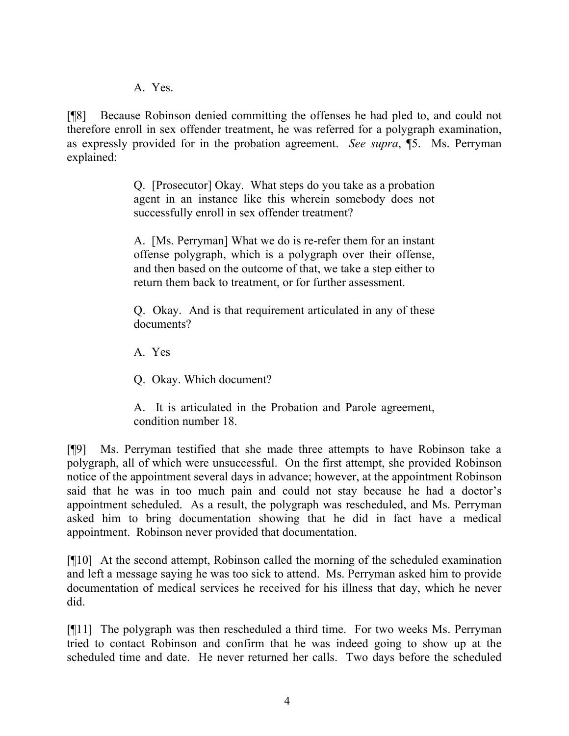A. Yes.

[¶8] Because Robinson denied committing the offenses he had pled to, and could not therefore enroll in sex offender treatment, he was referred for a polygraph examination, as expressly provided for in the probation agreement. *See supra*, ¶5. Ms. Perryman explained:

> Q. [Prosecutor] Okay. What steps do you take as a probation agent in an instance like this wherein somebody does not successfully enroll in sex offender treatment?

> A. [Ms. Perryman] What we do is re-refer them for an instant offense polygraph, which is a polygraph over their offense, and then based on the outcome of that, we take a step either to return them back to treatment, or for further assessment.

> Q. Okay. And is that requirement articulated in any of these documents?

A. Yes

Q. Okay. Which document?

A. It is articulated in the Probation and Parole agreement, condition number 18.

[¶9] Ms. Perryman testified that she made three attempts to have Robinson take a polygraph, all of which were unsuccessful. On the first attempt, she provided Robinson notice of the appointment several days in advance; however, at the appointment Robinson said that he was in too much pain and could not stay because he had a doctor's appointment scheduled. As a result, the polygraph was rescheduled, and Ms. Perryman asked him to bring documentation showing that he did in fact have a medical appointment. Robinson never provided that documentation.

[¶10] At the second attempt, Robinson called the morning of the scheduled examination and left a message saying he was too sick to attend. Ms. Perryman asked him to provide documentation of medical services he received for his illness that day, which he never did.

[¶11] The polygraph was then rescheduled a third time. For two weeks Ms. Perryman tried to contact Robinson and confirm that he was indeed going to show up at the scheduled time and date. He never returned her calls. Two days before the scheduled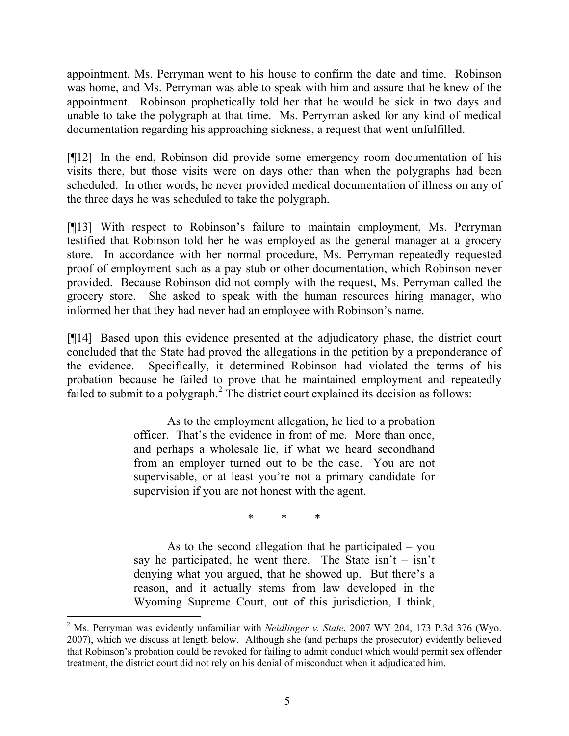appointment, Ms. Perryman went to his house to confirm the date and time. Robinson was home, and Ms. Perryman was able to speak with him and assure that he knew of the appointment. Robinson prophetically told her that he would be sick in two days and unable to take the polygraph at that time. Ms. Perryman asked for any kind of medical documentation regarding his approaching sickness, a request that went unfulfilled.

[¶12] In the end, Robinson did provide some emergency room documentation of his visits there, but those visits were on days other than when the polygraphs had been scheduled. In other words, he never provided medical documentation of illness on any of the three days he was scheduled to take the polygraph.

[¶13] With respect to Robinson's failure to maintain employment, Ms. Perryman testified that Robinson told her he was employed as the general manager at a grocery store. In accordance with her normal procedure, Ms. Perryman repeatedly requested proof of employment such as a pay stub or other documentation, which Robinson never provided. Because Robinson did not comply with the request, Ms. Perryman called the grocery store. She asked to speak with the human resources hiring manager, who informed her that they had never had an employee with Robinson's name.

[¶14] Based upon this evidence presented at the adjudicatory phase, the district court concluded that the State had proved the allegations in the petition by a preponderance of the evidence. Specifically, it determined Robinson had violated the terms of his probation because he failed to prove that he maintained employment and repeatedly failed to submit to a polygraph. $2$  The district court explained its decision as follows:

> As to the employment allegation, he lied to a probation officer. That's the evidence in front of me. More than once, and perhaps a wholesale lie, if what we heard secondhand from an employer turned out to be the case. You are not supervisable, or at least you're not a primary candidate for supervision if you are not honest with the agent.

> > \* \* \*

As to the second allegation that he participated – you say he participated, he went there. The State  $\sin^2 t - \sin^2 t$ denying what you argued, that he showed up. But there's a reason, and it actually stems from law developed in the Wyoming Supreme Court, out of this jurisdiction, I think,

l

<sup>2</sup> Ms. Perryman was evidently unfamiliar with *Neidlinger v. State*, 2007 WY 204, 173 P.3d 376 (Wyo. 2007), which we discuss at length below. Although she (and perhaps the prosecutor) evidently believed that Robinson's probation could be revoked for failing to admit conduct which would permit sex offender treatment, the district court did not rely on his denial of misconduct when it adjudicated him.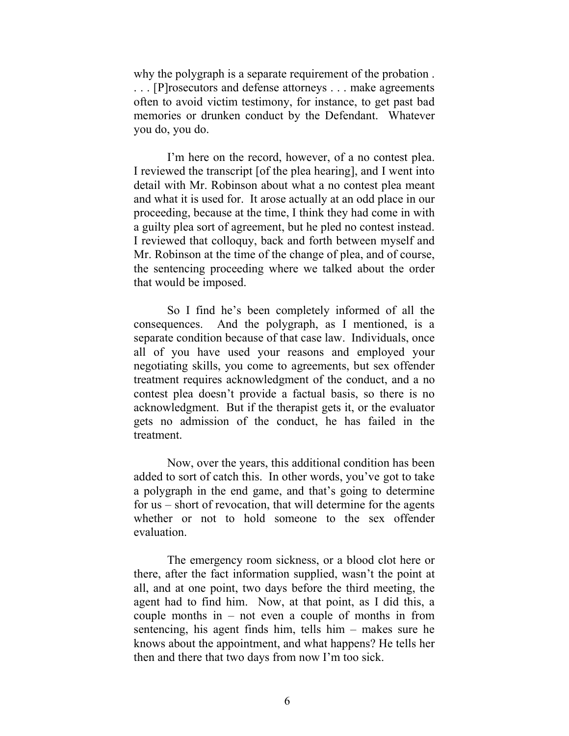why the polygraph is a separate requirement of the probation . . . . [P]rosecutors and defense attorneys . . . make agreements often to avoid victim testimony, for instance, to get past bad memories or drunken conduct by the Defendant. Whatever you do, you do.

I'm here on the record, however, of a no contest plea. I reviewed the transcript [of the plea hearing], and I went into detail with Mr. Robinson about what a no contest plea meant and what it is used for. It arose actually at an odd place in our proceeding, because at the time, I think they had come in with a guilty plea sort of agreement, but he pled no contest instead. I reviewed that colloquy, back and forth between myself and Mr. Robinson at the time of the change of plea, and of course, the sentencing proceeding where we talked about the order that would be imposed.

So I find he's been completely informed of all the consequences. And the polygraph, as I mentioned, is a separate condition because of that case law. Individuals, once all of you have used your reasons and employed your negotiating skills, you come to agreements, but sex offender treatment requires acknowledgment of the conduct, and a no contest plea doesn't provide a factual basis, so there is no acknowledgment. But if the therapist gets it, or the evaluator gets no admission of the conduct, he has failed in the treatment.

Now, over the years, this additional condition has been added to sort of catch this. In other words, you've got to take a polygraph in the end game, and that's going to determine for us – short of revocation, that will determine for the agents whether or not to hold someone to the sex offender evaluation.

The emergency room sickness, or a blood clot here or there, after the fact information supplied, wasn't the point at all, and at one point, two days before the third meeting, the agent had to find him. Now, at that point, as I did this, a couple months in – not even a couple of months in from sentencing, his agent finds him, tells him – makes sure he knows about the appointment, and what happens? He tells her then and there that two days from now I'm too sick.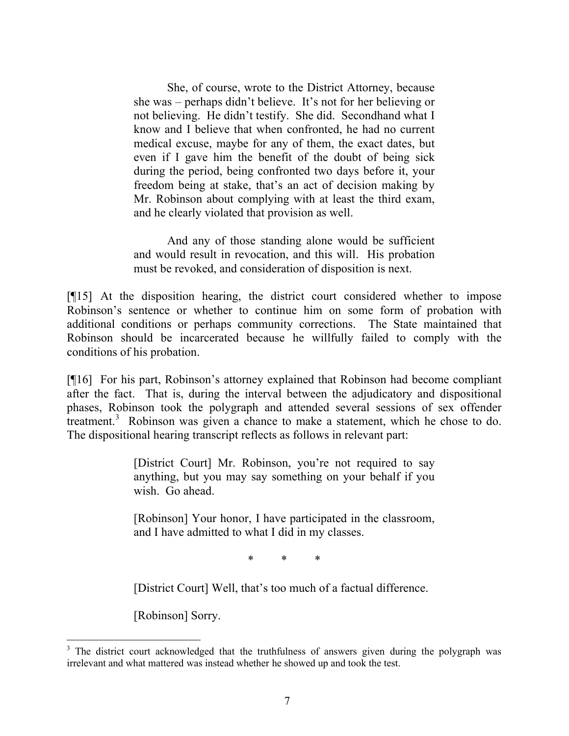She, of course, wrote to the District Attorney, because she was – perhaps didn't believe. It's not for her believing or not believing. He didn't testify. She did. Secondhand what I know and I believe that when confronted, he had no current medical excuse, maybe for any of them, the exact dates, but even if I gave him the benefit of the doubt of being sick during the period, being confronted two days before it, your freedom being at stake, that's an act of decision making by Mr. Robinson about complying with at least the third exam, and he clearly violated that provision as well.

And any of those standing alone would be sufficient and would result in revocation, and this will. His probation must be revoked, and consideration of disposition is next.

[¶15] At the disposition hearing, the district court considered whether to impose Robinson's sentence or whether to continue him on some form of probation with additional conditions or perhaps community corrections. The State maintained that Robinson should be incarcerated because he willfully failed to comply with the conditions of his probation.

[¶16] For his part, Robinson's attorney explained that Robinson had become compliant after the fact. That is, during the interval between the adjudicatory and dispositional phases, Robinson took the polygraph and attended several sessions of sex offender treatment.<sup>3</sup> Robinson was given a chance to make a statement, which he chose to do. The dispositional hearing transcript reflects as follows in relevant part:

> [District Court] Mr. Robinson, you're not required to say anything, but you may say something on your behalf if you wish. Go ahead.

> [Robinson] Your honor, I have participated in the classroom, and I have admitted to what I did in my classes.

> > \* \* \*

[District Court] Well, that's too much of a factual difference.

[Robinson] Sorry.

<sup>&</sup>lt;sup>3</sup> The district court acknowledged that the truthfulness of answers given during the polygraph was irrelevant and what mattered was instead whether he showed up and took the test.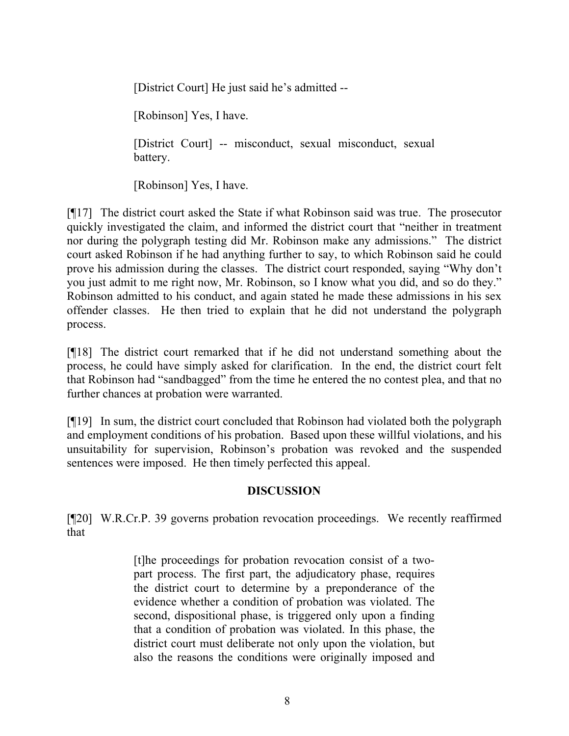[District Court] He just said he's admitted --

[Robinson] Yes, I have.

[District Court] -- misconduct, sexual misconduct, sexual battery.

[Robinson] Yes, I have.

[¶17] The district court asked the State if what Robinson said was true. The prosecutor quickly investigated the claim, and informed the district court that "neither in treatment nor during the polygraph testing did Mr. Robinson make any admissions." The district court asked Robinson if he had anything further to say, to which Robinson said he could prove his admission during the classes. The district court responded, saying "Why don't you just admit to me right now, Mr. Robinson, so I know what you did, and so do they." Robinson admitted to his conduct, and again stated he made these admissions in his sex offender classes. He then tried to explain that he did not understand the polygraph process.

[¶18] The district court remarked that if he did not understand something about the process, he could have simply asked for clarification. In the end, the district court felt that Robinson had "sandbagged" from the time he entered the no contest plea, and that no further chances at probation were warranted.

[¶19] In sum, the district court concluded that Robinson had violated both the polygraph and employment conditions of his probation. Based upon these willful violations, and his unsuitability for supervision, Robinson's probation was revoked and the suspended sentences were imposed. He then timely perfected this appeal.

## **DISCUSSION**

[¶20] W.R.Cr.P. 39 governs probation revocation proceedings. We recently reaffirmed that

> [t]he proceedings for probation revocation consist of a twopart process. The first part, the adjudicatory phase, requires the district court to determine by a preponderance of the evidence whether a condition of probation was violated. The second, dispositional phase, is triggered only upon a finding that a condition of probation was violated. In this phase, the district court must deliberate not only upon the violation, but also the reasons the conditions were originally imposed and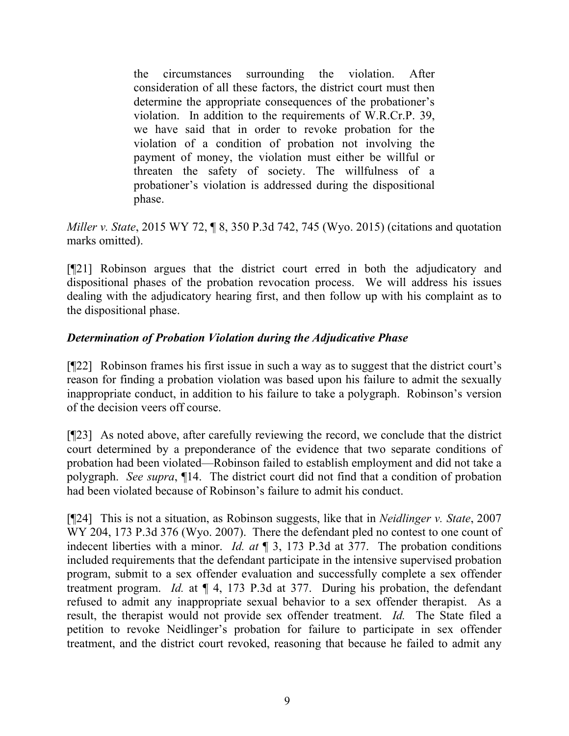the circumstances surrounding the violation. After consideration of all these factors, the district court must then determine the appropriate consequences of the probationer's violation. In addition to the requirements of W.R.Cr.P. 39, we have said that in order to revoke probation for the violation of a condition of probation not involving the payment of money, the violation must either be willful or threaten the safety of society. The willfulness of a probationer's violation is addressed during the dispositional phase.

*Miller v. State*, 2015 WY 72, ¶ 8, 350 P.3d 742, 745 (Wyo. 2015) (citations and quotation marks omitted).

[¶21] Robinson argues that the district court erred in both the adjudicatory and dispositional phases of the probation revocation process. We will address his issues dealing with the adjudicatory hearing first, and then follow up with his complaint as to the dispositional phase.

## *Determination of Probation Violation during the Adjudicative Phase*

[¶22] Robinson frames his first issue in such a way as to suggest that the district court's reason for finding a probation violation was based upon his failure to admit the sexually inappropriate conduct, in addition to his failure to take a polygraph. Robinson's version of the decision veers off course.

[¶23] As noted above, after carefully reviewing the record, we conclude that the district court determined by a preponderance of the evidence that two separate conditions of probation had been violated—Robinson failed to establish employment and did not take a polygraph. *See supra*, ¶14. The district court did not find that a condition of probation had been violated because of Robinson's failure to admit his conduct.

[¶24] This is not a situation, as Robinson suggests, like that in *Neidlinger v. State*, 2007 WY 204, 173 P.3d 376 (Wyo. 2007). There the defendant pled no contest to one count of indecent liberties with a minor. *Id. at* ¶ 3, 173 P.3d at 377. The probation conditions included requirements that the defendant participate in the intensive supervised probation program, submit to a sex offender evaluation and successfully complete a sex offender treatment program. *Id.* at ¶ 4, 173 P.3d at 377. During his probation, the defendant refused to admit any inappropriate sexual behavior to a sex offender therapist. As a result, the therapist would not provide sex offender treatment. *Id.* The State filed a petition to revoke Neidlinger's probation for failure to participate in sex offender treatment, and the district court revoked, reasoning that because he failed to admit any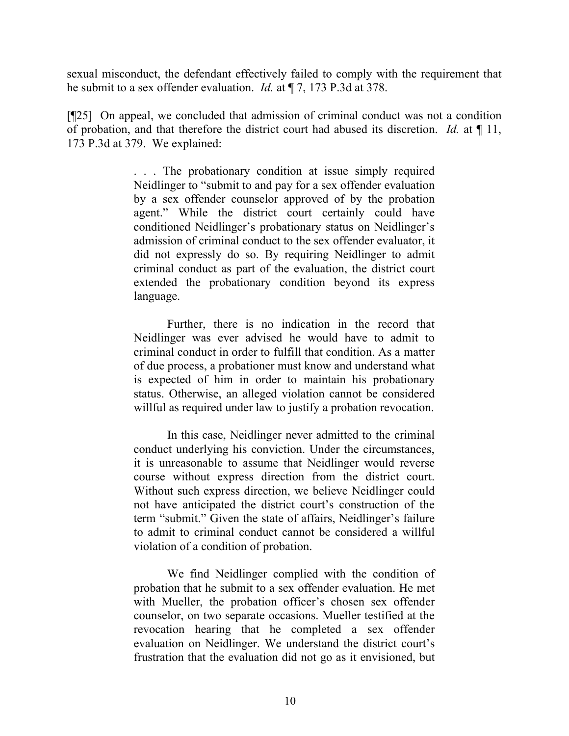sexual misconduct, the defendant effectively failed to comply with the requirement that he submit to a sex offender evaluation. *Id.* at ¶ 7, 173 P.3d at 378.

[¶25] On appeal, we concluded that admission of criminal conduct was not a condition of probation, and that therefore the district court had abused its discretion. *Id.* at ¶ 11, 173 P.3d at 379. We explained:

> . . . The probationary condition at issue simply required Neidlinger to "submit to and pay for a sex offender evaluation by a sex offender counselor approved of by the probation agent." While the district court certainly could have conditioned Neidlinger's probationary status on Neidlinger's admission of criminal conduct to the sex offender evaluator, it did not expressly do so. By requiring Neidlinger to admit criminal conduct as part of the evaluation, the district court extended the probationary condition beyond its express language.

> Further, there is no indication in the record that Neidlinger was ever advised he would have to admit to criminal conduct in order to fulfill that condition. As a matter of due process, a probationer must know and understand what is expected of him in order to maintain his probationary status. Otherwise, an alleged violation cannot be considered willful as required under law to justify a probation revocation.

> In this case, Neidlinger never admitted to the criminal conduct underlying his conviction. Under the circumstances, it is unreasonable to assume that Neidlinger would reverse course without express direction from the district court. Without such express direction, we believe Neidlinger could not have anticipated the district court's construction of the term "submit." Given the state of affairs, Neidlinger's failure to admit to criminal conduct cannot be considered a willful violation of a condition of probation.

> We find Neidlinger complied with the condition of probation that he submit to a sex offender evaluation. He met with Mueller, the probation officer's chosen sex offender counselor, on two separate occasions. Mueller testified at the revocation hearing that he completed a sex offender evaluation on Neidlinger. We understand the district court's frustration that the evaluation did not go as it envisioned, but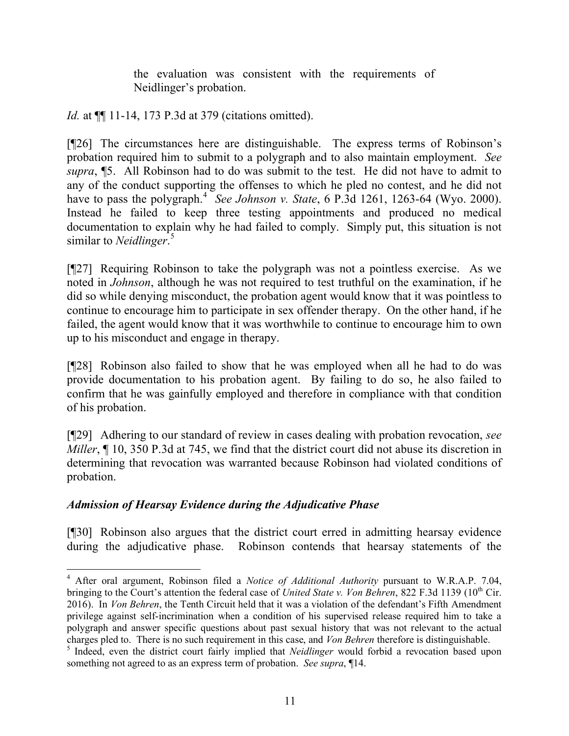the evaluation was consistent with the requirements of Neidlinger's probation.

*Id.* at ¶¶ 11-14, 173 P.3d at 379 (citations omitted).

[¶26] The circumstances here are distinguishable. The express terms of Robinson's probation required him to submit to a polygraph and to also maintain employment. *See supra*, ¶5. All Robinson had to do was submit to the test. He did not have to admit to any of the conduct supporting the offenses to which he pled no contest, and he did not have to pass the polygraph.<sup>4</sup> See Johnson v. State, 6 P.3d 1261, 1263-64 (Wyo. 2000). Instead he failed to keep three testing appointments and produced no medical documentation to explain why he had failed to comply. Simply put, this situation is not similar to *Neidlinger*. 5

[¶27] Requiring Robinson to take the polygraph was not a pointless exercise. As we noted in *Johnson*, although he was not required to test truthful on the examination, if he did so while denying misconduct, the probation agent would know that it was pointless to continue to encourage him to participate in sex offender therapy. On the other hand, if he failed, the agent would know that it was worthwhile to continue to encourage him to own up to his misconduct and engage in therapy.

[¶28] Robinson also failed to show that he was employed when all he had to do was provide documentation to his probation agent. By failing to do so, he also failed to confirm that he was gainfully employed and therefore in compliance with that condition of his probation.

[¶29] Adhering to our standard of review in cases dealing with probation revocation, *see Miller*,  $\P$  10, 350 P.3d at 745, we find that the district court did not abuse its discretion in determining that revocation was warranted because Robinson had violated conditions of probation.

# *Admission of Hearsay Evidence during the Adjudicative Phase*

l

[¶30] Robinson also argues that the district court erred in admitting hearsay evidence during the adjudicative phase. Robinson contends that hearsay statements of the

<sup>4</sup> After oral argument, Robinson filed a *Notice of Additional Authority* pursuant to W.R.A.P. 7.04, bringing to the Court's attention the federal case of *United State v. Von Behren*, 822 F.3d 1139 (10<sup>th</sup> Cir. 2016). In *Von Behren*, the Tenth Circuit held that it was a violation of the defendant's Fifth Amendment privilege against self-incrimination when a condition of his supervised release required him to take a polygraph and answer specific questions about past sexual history that was not relevant to the actual charges pled to. There is no such requirement in this case, and *Von Behren* therefore is distinguishable.

<sup>&</sup>lt;sup>5</sup> Indeed, even the district court fairly implied that *Neidlinger* would forbid a revocation based upon something not agreed to as an express term of probation. *See supra*, ¶14.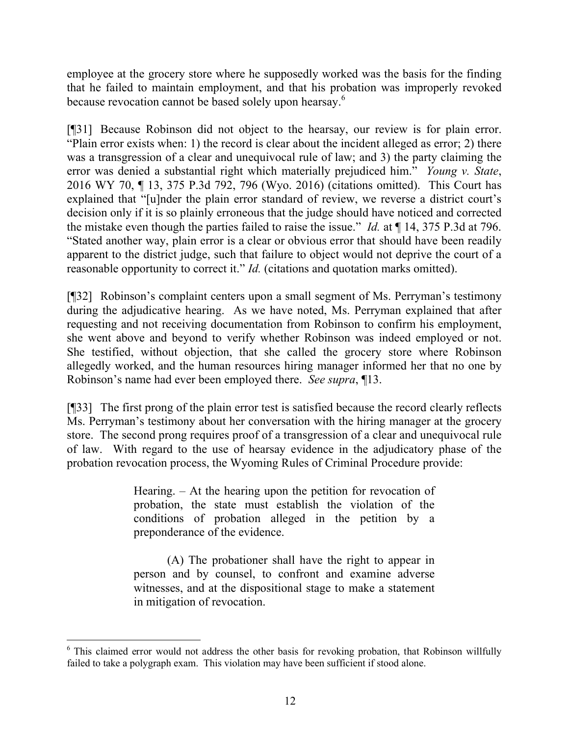employee at the grocery store where he supposedly worked was the basis for the finding that he failed to maintain employment, and that his probation was improperly revoked because revocation cannot be based solely upon hearsay.<sup>6</sup>

[¶31] Because Robinson did not object to the hearsay, our review is for plain error. "Plain error exists when: 1) the record is clear about the incident alleged as error; 2) there was a transgression of a clear and unequivocal rule of law; and 3) the party claiming the error was denied a substantial right which materially prejudiced him." *Young v. State*, 2016 WY 70, ¶ 13, 375 P.3d 792, 796 (Wyo. 2016) (citations omitted). This Court has explained that "[u]nder the plain error standard of review, we reverse a district court's decision only if it is so plainly erroneous that the judge should have noticed and corrected the mistake even though the parties failed to raise the issue." *Id.* at ¶ 14, 375 P.3d at 796. "Stated another way, plain error is a clear or obvious error that should have been readily apparent to the district judge, such that failure to object would not deprive the court of a reasonable opportunity to correct it." *Id.* (citations and quotation marks omitted).

[¶32] Robinson's complaint centers upon a small segment of Ms. Perryman's testimony during the adjudicative hearing. As we have noted, Ms. Perryman explained that after requesting and not receiving documentation from Robinson to confirm his employment, she went above and beyond to verify whether Robinson was indeed employed or not. She testified, without objection, that she called the grocery store where Robinson allegedly worked, and the human resources hiring manager informed her that no one by Robinson's name had ever been employed there. *See supra*, ¶13.

[¶33] The first prong of the plain error test is satisfied because the record clearly reflects Ms. Perryman's testimony about her conversation with the hiring manager at the grocery store. The second prong requires proof of a transgression of a clear and unequivocal rule of law. With regard to the use of hearsay evidence in the adjudicatory phase of the probation revocation process, the Wyoming Rules of Criminal Procedure provide:

> Hearing. – At the hearing upon the petition for revocation of probation, the state must establish the violation of the conditions of probation alleged in the petition by a preponderance of the evidence.

> (A) The probationer shall have the right to appear in person and by counsel, to confront and examine adverse witnesses, and at the dispositional stage to make a statement in mitigation of revocation.

<sup>&</sup>lt;sup>6</sup> This claimed error would not address the other basis for revoking probation, that Robinson willfully failed to take a polygraph exam. This violation may have been sufficient if stood alone.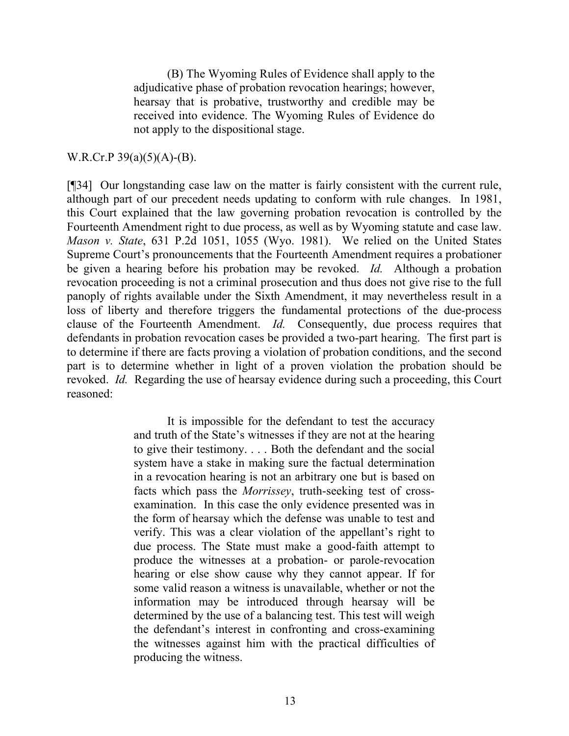(B) The Wyoming Rules of Evidence shall apply to the adjudicative phase of probation revocation hearings; however, hearsay that is probative, trustworthy and credible may be received into evidence. The Wyoming Rules of Evidence do not apply to the dispositional stage.

#### W.R.Cr.P  $39(a)(5)(A)$ -(B).

[¶34] Our longstanding case law on the matter is fairly consistent with the current rule, although part of our precedent needs updating to conform with rule changes. In 1981, this Court explained that the law governing probation revocation is controlled by the Fourteenth Amendment right to due process, as well as by Wyoming statute and case law. *Mason v. State*, 631 P.2d 1051, 1055 (Wyo. 1981). We relied on the United States Supreme Court's pronouncements that the Fourteenth Amendment requires a probationer be given a hearing before his probation may be revoked. *Id.* Although a probation revocation proceeding is not a criminal prosecution and thus does not give rise to the full panoply of rights available under the Sixth Amendment, it may nevertheless result in a loss of liberty and therefore triggers the fundamental protections of the due-process clause of the Fourteenth Amendment. *Id.* Consequently, due process requires that defendants in probation revocation cases be provided a two-part hearing. The first part is to determine if there are facts proving a violation of probation conditions, and the second part is to determine whether in light of a proven violation the probation should be revoked. *Id.* Regarding the use of hearsay evidence during such a proceeding, this Court reasoned:

> It is impossible for the defendant to test the accuracy and truth of the State's witnesses if they are not at the hearing to give their testimony. . . . Both the defendant and the social system have a stake in making sure the factual determination in a revocation hearing is not an arbitrary one but is based on facts which pass the *Morrissey*, truth-seeking test of crossexamination. In this case the only evidence presented was in the form of hearsay which the defense was unable to test and verify. This was a clear violation of the appellant's right to due process. The State must make a good-faith attempt to produce the witnesses at a probation- or parole-revocation hearing or else show cause why they cannot appear. If for some valid reason a witness is unavailable, whether or not the information may be introduced through hearsay will be determined by the use of a balancing test. This test will weigh the defendant's interest in confronting and cross-examining the witnesses against him with the practical difficulties of producing the witness.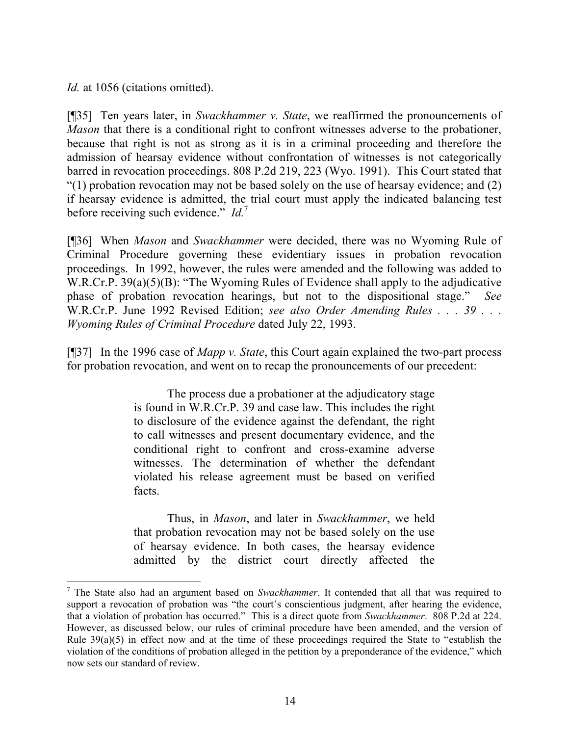*Id.* at 1056 (citations omitted).

l

[¶35] Ten years later, in *Swackhammer v. State*, we reaffirmed the pronouncements of *Mason* that there is a conditional right to confront witnesses adverse to the probationer, because that right is not as strong as it is in a criminal proceeding and therefore the admission of hearsay evidence without confrontation of witnesses is not categorically barred in revocation proceedings. 808 P.2d 219, 223 (Wyo. 1991). This Court stated that "(1) probation revocation may not be based solely on the use of hearsay evidence; and  $(2)$ if hearsay evidence is admitted, the trial court must apply the indicated balancing test before receiving such evidence." *Id.*<sup>7</sup>

[¶36] When *Mason* and *Swackhammer* were decided, there was no Wyoming Rule of Criminal Procedure governing these evidentiary issues in probation revocation proceedings. In 1992, however, the rules were amended and the following was added to W.R.Cr.P. 39(a)(5)(B): "The Wyoming Rules of Evidence shall apply to the adjudicative phase of probation revocation hearings, but not to the dispositional stage." W.R.Cr.P. June 1992 Revised Edition; *see also Order Amending Rules . . . 39 . . . Wyoming Rules of Criminal Procedure* dated July 22, 1993.

[¶37] In the 1996 case of *Mapp v. State*, this Court again explained the two-part process for probation revocation, and went on to recap the pronouncements of our precedent:

> The process due a probationer at the adjudicatory stage is found in W.R.Cr.P. 39 and case law. This includes the right to disclosure of the evidence against the defendant, the right to call witnesses and present documentary evidence, and the conditional right to confront and cross-examine adverse witnesses. The determination of whether the defendant violated his release agreement must be based on verified facts.

> Thus, in *Mason*, and later in *Swackhammer*, we held that probation revocation may not be based solely on the use of hearsay evidence. In both cases, the hearsay evidence admitted by the district court directly affected the

<sup>7</sup> The State also had an argument based on *Swackhammer*. It contended that all that was required to support a revocation of probation was "the court's conscientious judgment, after hearing the evidence, that a violation of probation has occurred." This is a direct quote from *Swackhammer*. 808 P.2d at 224. However, as discussed below, our rules of criminal procedure have been amended, and the version of Rule 39(a)(5) in effect now and at the time of these proceedings required the State to "establish the violation of the conditions of probation alleged in the petition by a preponderance of the evidence," which now sets our standard of review.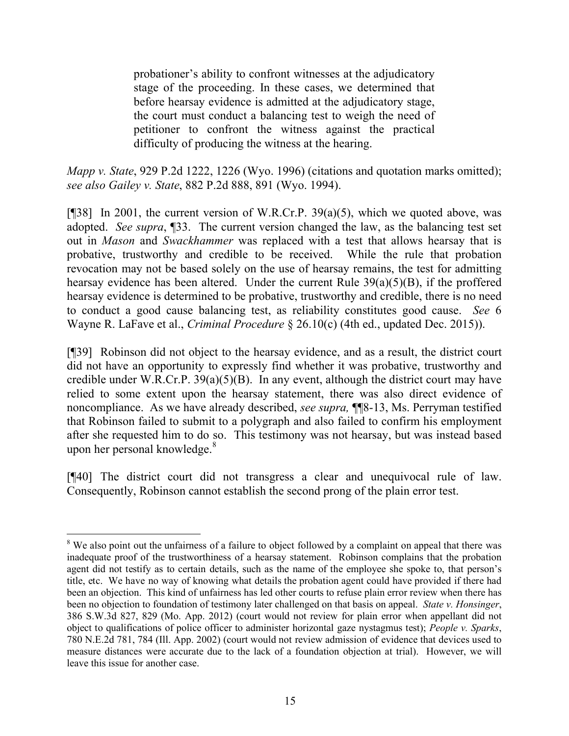probationer's ability to confront witnesses at the adjudicatory stage of the proceeding. In these cases, we determined that before hearsay evidence is admitted at the adjudicatory stage, the court must conduct a balancing test to weigh the need of petitioner to confront the witness against the practical difficulty of producing the witness at the hearing.

*Mapp v. State*, 929 P.2d 1222, 1226 (Wyo. 1996) (citations and quotation marks omitted); *see also Gailey v. State*, 882 P.2d 888, 891 (Wyo. 1994).

[¶38] In 2001, the current version of W.R.Cr.P. 39(a)(5), which we quoted above, was adopted. *See supra*, ¶33. The current version changed the law, as the balancing test set out in *Mason* and *Swackhammer* was replaced with a test that allows hearsay that is probative, trustworthy and credible to be received. While the rule that probation revocation may not be based solely on the use of hearsay remains, the test for admitting hearsay evidence has been altered. Under the current Rule  $39(a)(5)(B)$ , if the proffered hearsay evidence is determined to be probative, trustworthy and credible, there is no need to conduct a good cause balancing test, as reliability constitutes good cause. *See* 6 Wayne R. LaFave et al., *Criminal Procedure* § 26.10(c) (4th ed., updated Dec. 2015)).

[¶39] Robinson did not object to the hearsay evidence, and as a result, the district court did not have an opportunity to expressly find whether it was probative, trustworthy and credible under W.R.Cr.P.  $39(a)(5)(B)$ . In any event, although the district court may have relied to some extent upon the hearsay statement, there was also direct evidence of noncompliance. As we have already described, *see supra,* ¶¶8-13, Ms. Perryman testified that Robinson failed to submit to a polygraph and also failed to confirm his employment after she requested him to do so. This testimony was not hearsay, but was instead based upon her personal knowledge. $8$ 

[¶40] The district court did not transgress a clear and unequivocal rule of law. Consequently, Robinson cannot establish the second prong of the plain error test.

<sup>&</sup>lt;sup>8</sup> We also point out the unfairness of a failure to object followed by a complaint on appeal that there was inadequate proof of the trustworthiness of a hearsay statement. Robinson complains that the probation agent did not testify as to certain details, such as the name of the employee she spoke to, that person's title, etc. We have no way of knowing what details the probation agent could have provided if there had been an objection. This kind of unfairness has led other courts to refuse plain error review when there has been no objection to foundation of testimony later challenged on that basis on appeal. *State v. Honsinger*, 386 S.W.3d 827, 829 (Mo. App. 2012) (court would not review for plain error when appellant did not object to qualifications of police officer to administer horizontal gaze nystagmus test); *People v. Sparks*, 780 N.E.2d 781, 784 (Ill. App. 2002) (court would not review admission of evidence that devices used to measure distances were accurate due to the lack of a foundation objection at trial). However, we will leave this issue for another case.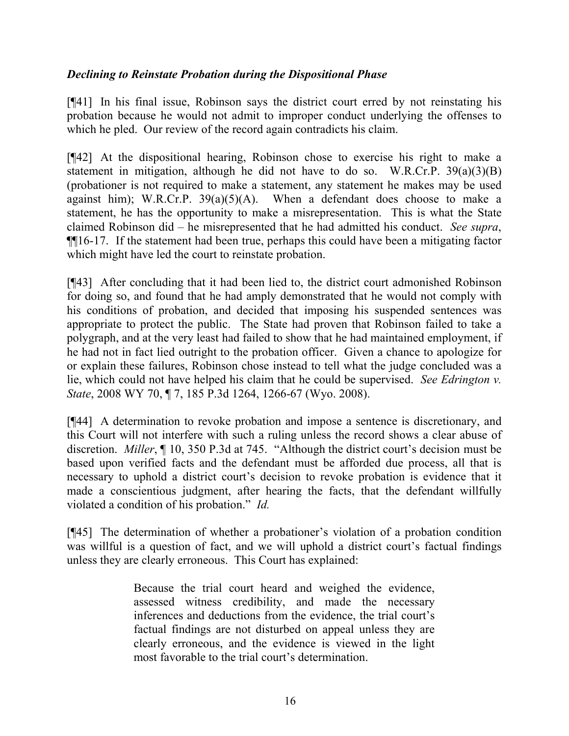## *Declining to Reinstate Probation during the Dispositional Phase*

[¶41] In his final issue, Robinson says the district court erred by not reinstating his probation because he would not admit to improper conduct underlying the offenses to which he pled. Our review of the record again contradicts his claim.

[¶42] At the dispositional hearing, Robinson chose to exercise his right to make a statement in mitigation, although he did not have to do so. W.R.Cr.P.  $39(a)(3)(B)$ (probationer is not required to make a statement, any statement he makes may be used against him); W.R.Cr.P.  $39(a)(5)(A)$ . When a defendant does choose to make a statement, he has the opportunity to make a misrepresentation. This is what the State claimed Robinson did – he misrepresented that he had admitted his conduct. *See supra*, ¶¶16-17. If the statement had been true, perhaps this could have been a mitigating factor which might have led the court to reinstate probation.

[¶43] After concluding that it had been lied to, the district court admonished Robinson for doing so, and found that he had amply demonstrated that he would not comply with his conditions of probation, and decided that imposing his suspended sentences was appropriate to protect the public. The State had proven that Robinson failed to take a polygraph, and at the very least had failed to show that he had maintained employment, if he had not in fact lied outright to the probation officer. Given a chance to apologize for or explain these failures, Robinson chose instead to tell what the judge concluded was a lie, which could not have helped his claim that he could be supervised. *See Edrington v. State*, 2008 WY 70, ¶ 7, 185 P.3d 1264, 1266-67 (Wyo. 2008).

[¶44] A determination to revoke probation and impose a sentence is discretionary, and this Court will not interfere with such a ruling unless the record shows a clear abuse of discretion. *Miller*, ¶ 10, 350 P.3d at 745. "Although the district court's decision must be based upon verified facts and the defendant must be afforded due process, all that is necessary to uphold a district court's decision to revoke probation is evidence that it made a conscientious judgment, after hearing the facts, that the defendant willfully violated a condition of his probation." *Id.*

[¶45] The determination of whether a probationer's violation of a probation condition was willful is a question of fact, and we will uphold a district court's factual findings unless they are clearly erroneous. This Court has explained:

> Because the trial court heard and weighed the evidence, assessed witness credibility, and made the necessary inferences and deductions from the evidence, the trial court's factual findings are not disturbed on appeal unless they are clearly erroneous, and the evidence is viewed in the light most favorable to the trial court's determination.